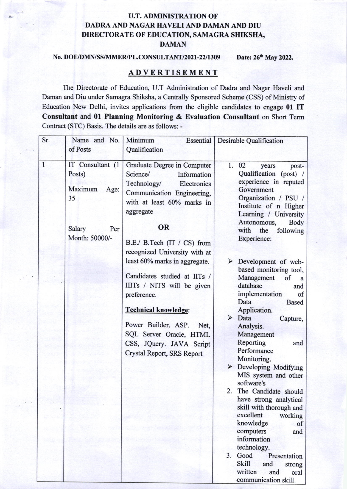## U.T. ADMINISTRATION OF DADRA AND NAGAR HAVELI AND DAMAN AND DIU DIRECTORATE OF EDUCATION, SAMAGRA SHIKSHA, DAMAN

## No. DOE/DMN/SS/MMER/PL.CONSULTANT/2021-22/1309 Date: 26<sup>th</sup> May 2022.

## ADVERTISEMENT

The Directorate of Education, U.T Administration of Dadra and Nagar Haveli and Daman and Diu under Samagra Shiksha, a Centrally Sponsored Scheme (CSS) of Ministry of Education New Delhi, invites applications from the eligible candidates to engage 01 IT Consultant and 01 Planning Monitoring & Evaluation Consultant on Short Term Contract (STC) Basis. The details are as follows: -

| Sr.          | Name and No.<br>of Posts                                                               | Minimum<br><b>Essential</b><br>Qualification                                                                                                                                                                                                                                                   | <b>Desirable Qualification</b>                                                                                                                                                                                                                                                                                                                                                                                                                                                                                                                                                                                                                                                    |
|--------------|----------------------------------------------------------------------------------------|------------------------------------------------------------------------------------------------------------------------------------------------------------------------------------------------------------------------------------------------------------------------------------------------|-----------------------------------------------------------------------------------------------------------------------------------------------------------------------------------------------------------------------------------------------------------------------------------------------------------------------------------------------------------------------------------------------------------------------------------------------------------------------------------------------------------------------------------------------------------------------------------------------------------------------------------------------------------------------------------|
| $\mathbf{1}$ | IT Consultant (1<br>Posts)<br>Maximum<br>Age:<br>35<br>Salary<br>Per<br>Month: 50000/- | Graduate Degree in Computer<br>Science/<br>Information<br>Technology/<br>Electronics<br>Communication Engineering,<br>with at least 60% marks in<br>aggregate<br><b>OR</b><br>B.E./ B.Tech (IT / CS) from                                                                                      | 1.<br>02<br>post-<br>years<br>Qualification (post) /<br>experience in reputed<br>Government<br>Organization / PSU /<br>Institute of n Higher<br>Learning / University<br>Autonomous,<br>Body<br>with<br>following<br>the<br>Experience:                                                                                                                                                                                                                                                                                                                                                                                                                                           |
|              |                                                                                        | recognized University with at<br>least 60% marks in aggregate.<br>Candidates studied at IITs /<br>IIITs / NITS will be given<br>preference.<br><b>Technical knowledge:</b><br>Power Builder, ASP.<br>Net.<br>SQL Server Oracle, HTML<br>CSS, JQuery. JAVA Script<br>Crystal Report, SRS Report | $\triangleright$ Development of web-<br>based monitoring tool,<br>Management<br>of<br>a<br>database<br>and<br>implementation<br>of<br>Data<br><b>Based</b><br>Application.<br>$\triangleright$ Data<br>Capture,<br>Analysis.<br>Management<br>Reporting<br>and<br>Performance<br>Monitoring.<br>Developing Modifying<br>$\blacktriangleright$<br>MIS system and other<br>software's<br>2. The Candidate should<br>have strong analytical<br>skill with thorough and<br>excellent<br>working<br>knowledge<br>of<br>computers<br>and<br>information<br>technology.<br>3.<br>Good<br>Presentation<br><b>Skill</b><br>and<br>strong<br>written<br>and<br>oral<br>communication skill. |